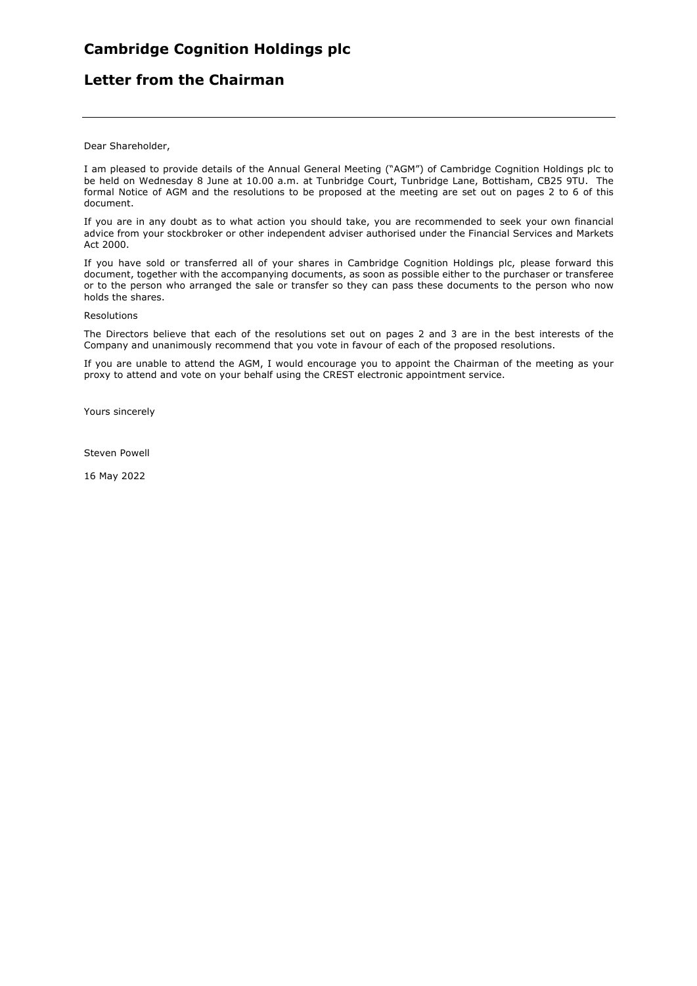# **Letter from the Chairman**

Dear Shareholder,

I am pleased to provide details of the Annual General Meeting ("AGM") of Cambridge Cognition Holdings plc to be held on Wednesday 8 June at 10.00 a.m. at Tunbridge Court, Tunbridge Lane, Bottisham, CB25 9TU. The formal Notice of AGM and the resolutions to be proposed at the meeting are set out on pages 2 to 6 of this document.

If you are in any doubt as to what action you should take, you are recommended to seek your own financial advice from your stockbroker or other independent adviser authorised under the Financial Services and Markets Act 2000.

If you have sold or transferred all of your shares in Cambridge Cognition Holdings plc, please forward this document, together with the accompanying documents, as soon as possible either to the purchaser or transferee or to the person who arranged the sale or transfer so they can pass these documents to the person who now holds the shares.

#### Resolutions

The Directors believe that each of the resolutions set out on pages 2 and 3 are in the best interests of the Company and unanimously recommend that you vote in favour of each of the proposed resolutions.

If you are unable to attend the AGM, I would encourage you to appoint the Chairman of the meeting as your proxy to attend and vote on your behalf using the CREST electronic appointment service.

Yours sincerely

Steven Powell

16 May 2022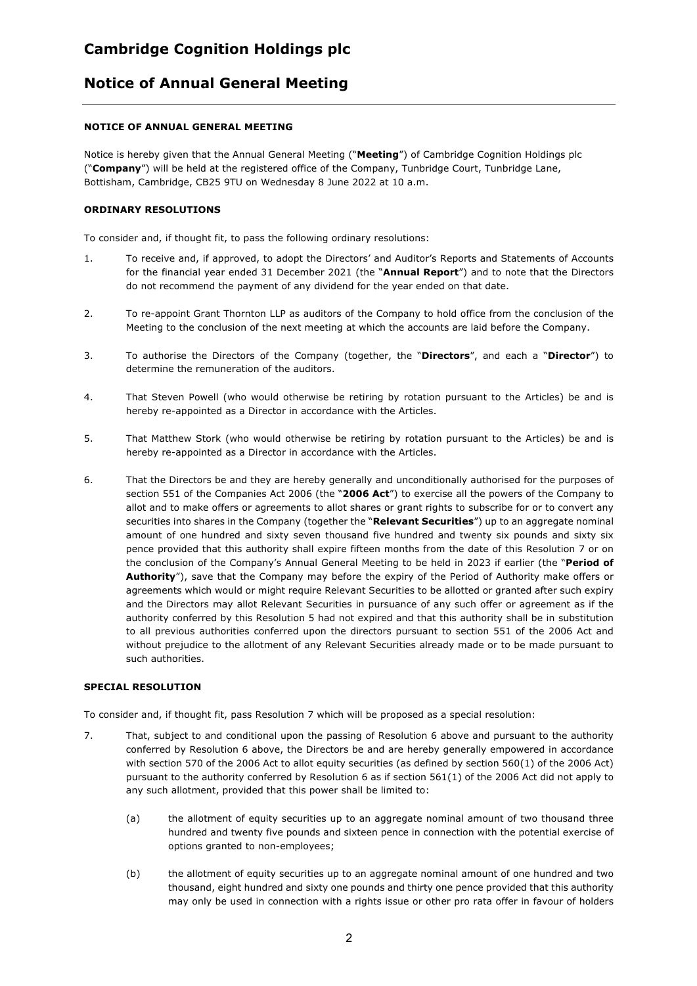## **Notice of Annual General Meeting**

### **NOTICE OF ANNUAL GENERAL MEETING**

Notice is hereby given that the Annual General Meeting ("**Meeting**") of Cambridge Cognition Holdings plc ("**Company**") will be held at the registered office of the Company, Tunbridge Court, Tunbridge Lane, Bottisham, Cambridge, CB25 9TU on Wednesday 8 June 2022 at 10 a.m.

### **ORDINARY RESOLUTIONS**

To consider and, if thought fit, to pass the following ordinary resolutions:

- 1. To receive and, if approved, to adopt the Directors' and Auditor's Reports and Statements of Accounts for the financial year ended 31 December 2021 (the "**Annual Report**") and to note that the Directors do not recommend the payment of any dividend for the year ended on that date.
- 2. To re-appoint Grant Thornton LLP as auditors of the Company to hold office from the conclusion of the Meeting to the conclusion of the next meeting at which the accounts are laid before the Company.
- 3. To authorise the Directors of the Company (together, the "**Directors**", and each a "**Director**") to determine the remuneration of the auditors.
- 4. That Steven Powell (who would otherwise be retiring by rotation pursuant to the Articles) be and is hereby re-appointed as a Director in accordance with the Articles.
- 5. That Matthew Stork (who would otherwise be retiring by rotation pursuant to the Articles) be and is hereby re-appointed as a Director in accordance with the Articles.
- 6. That the Directors be and they are hereby generally and unconditionally authorised for the purposes of section 551 of the Companies Act 2006 (the "**2006 Act**") to exercise all the powers of the Company to allot and to make offers or agreements to allot shares or grant rights to subscribe for or to convert any securities into shares in the Company (together the "**Relevant Securities**") up to an aggregate nominal amount of one hundred and sixty seven thousand five hundred and twenty six pounds and sixty six pence provided that this authority shall expire fifteen months from the date of this Resolution 7 or on the conclusion of the Company's Annual General Meeting to be held in 2023 if earlier (the "**Period of Authority**"), save that the Company may before the expiry of the Period of Authority make offers or agreements which would or might require Relevant Securities to be allotted or granted after such expiry and the Directors may allot Relevant Securities in pursuance of any such offer or agreement as if the authority conferred by this Resolution 5 had not expired and that this authority shall be in substitution to all previous authorities conferred upon the directors pursuant to section 551 of the 2006 Act and without prejudice to the allotment of any Relevant Securities already made or to be made pursuant to such authorities.

### **SPECIAL RESOLUTION**

To consider and, if thought fit, pass Resolution 7 which will be proposed as a special resolution:

- 7. That, subject to and conditional upon the passing of Resolution 6 above and pursuant to the authority conferred by Resolution 6 above, the Directors be and are hereby generally empowered in accordance with section 570 of the 2006 Act to allot equity securities (as defined by section 560(1) of the 2006 Act) pursuant to the authority conferred by Resolution 6 as if section 561(1) of the 2006 Act did not apply to any such allotment, provided that this power shall be limited to:
	- (a) the allotment of equity securities up to an aggregate nominal amount of two thousand three hundred and twenty five pounds and sixteen pence in connection with the potential exercise of options granted to non-employees;
	- (b) the allotment of equity securities up to an aggregate nominal amount of one hundred and two thousand, eight hundred and sixty one pounds and thirty one pence provided that this authority may only be used in connection with a rights issue or other pro rata offer in favour of holders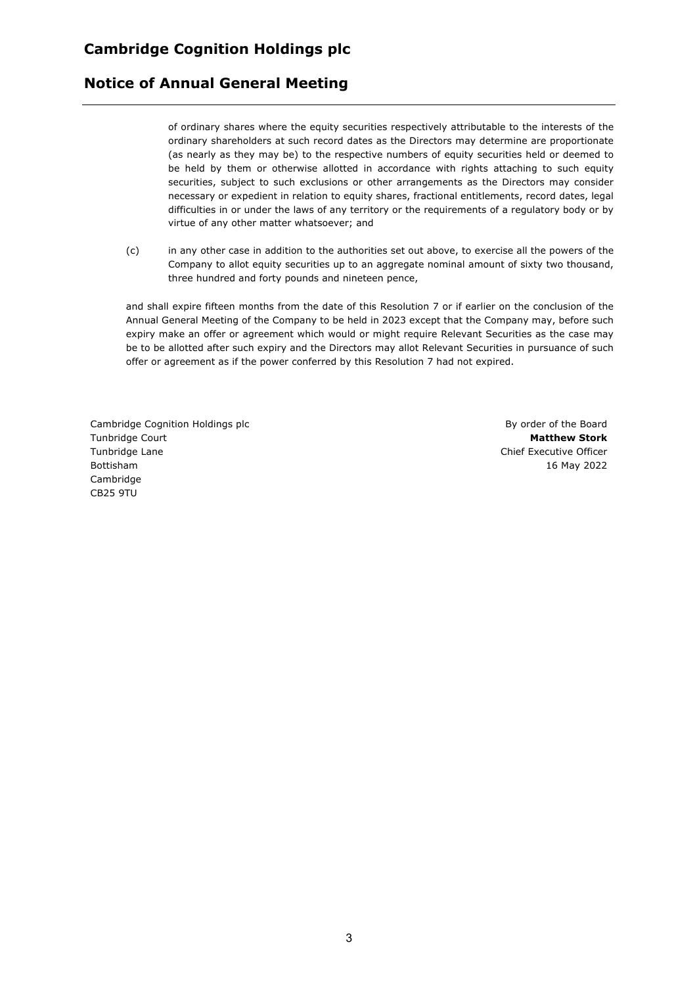### **Notice of Annual General Meeting**

of ordinary shares where the equity securities respectively attributable to the interests of the ordinary shareholders at such record dates as the Directors may determine are proportionate (as nearly as they may be) to the respective numbers of equity securities held or deemed to be held by them or otherwise allotted in accordance with rights attaching to such equity securities, subject to such exclusions or other arrangements as the Directors may consider necessary or expedient in relation to equity shares, fractional entitlements, record dates, legal difficulties in or under the laws of any territory or the requirements of a regulatory body or by virtue of any other matter whatsoever; and

(c) in any other case in addition to the authorities set out above, to exercise all the powers of the Company to allot equity securities up to an aggregate nominal amount of sixty two thousand, three hundred and forty pounds and nineteen pence,

and shall expire fifteen months from the date of this Resolution 7 or if earlier on the conclusion of the Annual General Meeting of the Company to be held in 2023 except that the Company may, before such expiry make an offer or agreement which would or might require Relevant Securities as the case may be to be allotted after such expiry and the Directors may allot Relevant Securities in pursuance of such offer or agreement as if the power conferred by this Resolution 7 had not expired.

Cambridge Cognition Holdings plc Tunbridge Court Tunbridge Lane Bottisham Cambridge CB25 9TU

By order of the Board **Matthew Stork** Chief Executive Officer 16 May 2022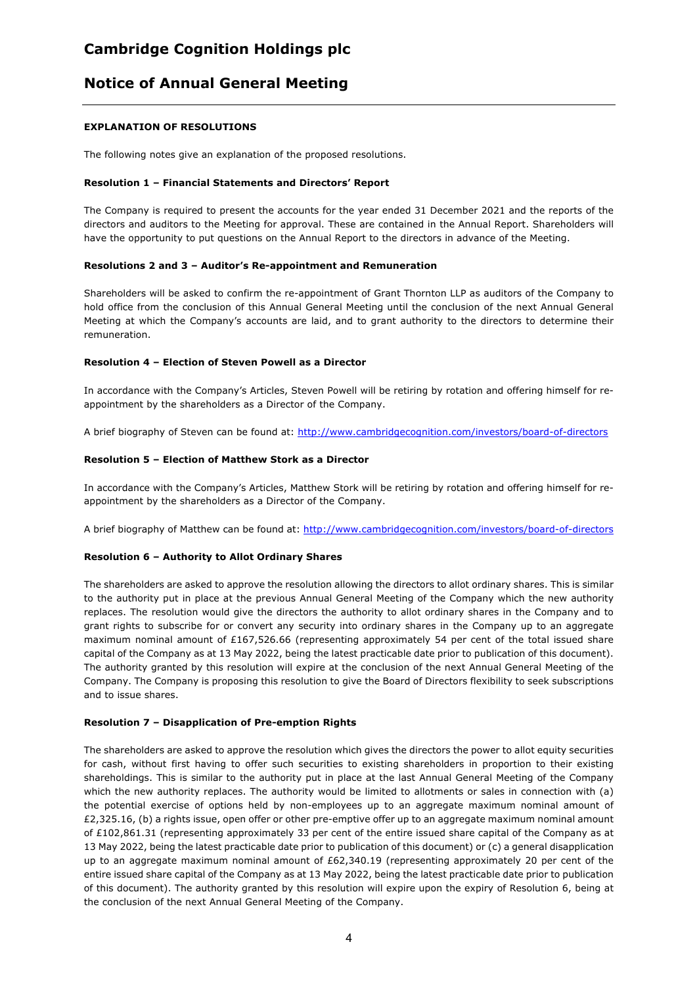## **Notice of Annual General Meeting**

### **EXPLANATION OF RESOLUTIONS**

The following notes give an explanation of the proposed resolutions.

#### **Resolution 1 – Financial Statements and Directors' Report**

The Company is required to present the accounts for the year ended 31 December 2021 and the reports of the directors and auditors to the Meeting for approval. These are contained in the Annual Report. Shareholders will have the opportunity to put questions on the Annual Report to the directors in advance of the Meeting.

#### **Resolutions 2 and 3 – Auditor's Re-appointment and Remuneration**

Shareholders will be asked to confirm the re-appointment of Grant Thornton LLP as auditors of the Company to hold office from the conclusion of this Annual General Meeting until the conclusion of the next Annual General Meeting at which the Company's accounts are laid, and to grant authority to the directors to determine their remuneration.

#### **Resolution 4 – Election of Steven Powell as a Director**

In accordance with the Company's Articles, Steven Powell will be retiring by rotation and offering himself for reappointment by the shareholders as a Director of the Company.

A brief biography of Steven can be found at: http://www.cambridgecognition.com/investors/board-of-directors

#### **Resolution 5 – Election of Matthew Stork as a Director**

In accordance with the Company's Articles, Matthew Stork will be retiring by rotation and offering himself for reappointment by the shareholders as a Director of the Company.

A brief biography of Matthew can be found at: http://www.cambridgecognition.com/investors/board-of-directors

#### **Resolution 6 – Authority to Allot Ordinary Shares**

The shareholders are asked to approve the resolution allowing the directors to allot ordinary shares. This is similar to the authority put in place at the previous Annual General Meeting of the Company which the new authority replaces. The resolution would give the directors the authority to allot ordinary shares in the Company and to grant rights to subscribe for or convert any security into ordinary shares in the Company up to an aggregate maximum nominal amount of £167,526.66 (representing approximately 54 per cent of the total issued share capital of the Company as at 13 May 2022, being the latest practicable date prior to publication of this document). The authority granted by this resolution will expire at the conclusion of the next Annual General Meeting of the Company. The Company is proposing this resolution to give the Board of Directors flexibility to seek subscriptions and to issue shares.

#### **Resolution 7 – Disapplication of Pre-emption Rights**

The shareholders are asked to approve the resolution which gives the directors the power to allot equity securities for cash, without first having to offer such securities to existing shareholders in proportion to their existing shareholdings. This is similar to the authority put in place at the last Annual General Meeting of the Company which the new authority replaces. The authority would be limited to allotments or sales in connection with (a) the potential exercise of options held by non-employees up to an aggregate maximum nominal amount of £2,325.16, (b) a rights issue, open offer or other pre-emptive offer up to an aggregate maximum nominal amount of £102,861.31 (representing approximately 33 per cent of the entire issued share capital of the Company as at 13 May 2022, being the latest practicable date prior to publication of this document) or (c) a general disapplication up to an aggregate maximum nominal amount of £62,340.19 (representing approximately 20 per cent of the entire issued share capital of the Company as at 13 May 2022, being the latest practicable date prior to publication of this document). The authority granted by this resolution will expire upon the expiry of Resolution 6, being at the conclusion of the next Annual General Meeting of the Company.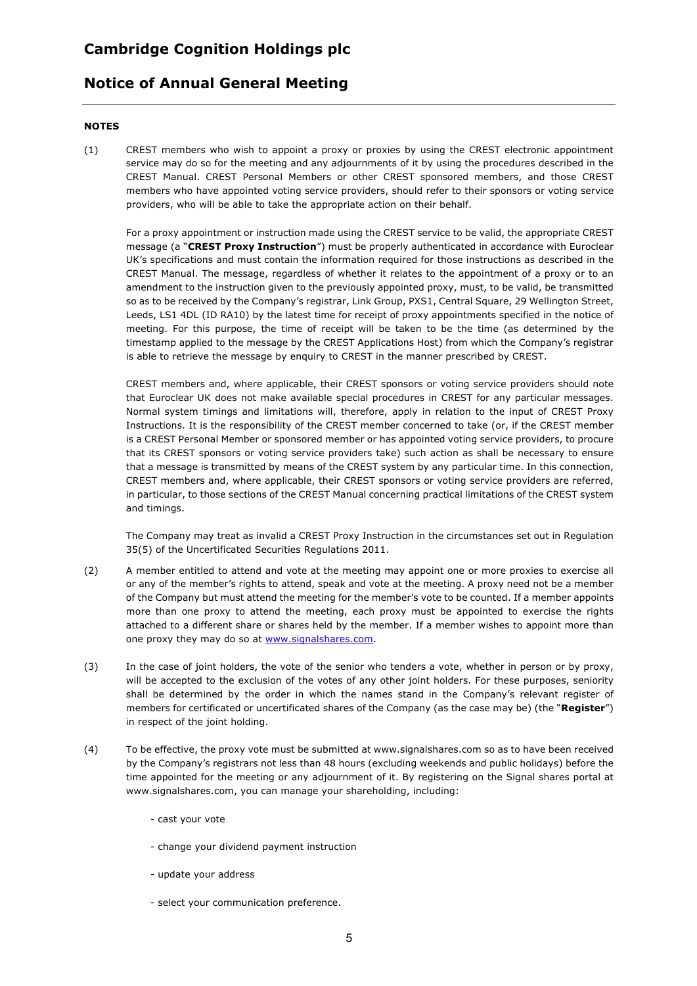### **Notice of Annual General Meeting**

### **NOTES**

(1) CREST members who wish to appoint a proxy or proxies by using the CREST electronic appointment service may do so for the meeting and any adjournments of it by using the procedures described in the CREST Manual. CREST Personal Members or other CREST sponsored members, and those CREST members who have appointed voting service providers, should refer to their sponsors or voting service providers, who will be able to take the appropriate action on their behalf.

For a proxy appointment or instruction made using the CREST service to be valid, the appropriate CREST message (a "**CREST Proxy Instruction**") must be properly authenticated in accordance with Euroclear UK's specifications and must contain the information required for those instructions as described in the CREST Manual. The message, regardless of whether it relates to the appointment of a proxy or to an amendment to the instruction given to the previously appointed proxy, must, to be valid, be transmitted so as to be received by the Company's registrar, Link Group, PXS1, Central Square, 29 Wellington Street, Leeds, LS1 4DL (ID RA10) by the latest time for receipt of proxy appointments specified in the notice of meeting. For this purpose, the time of receipt will be taken to be the time (as determined by the timestamp applied to the message by the CREST Applications Host) from which the Company's registrar is able to retrieve the message by enquiry to CREST in the manner prescribed by CREST.

CREST members and, where applicable, their CREST sponsors or voting service providers should note that Euroclear UK does not make available special procedures in CREST for any particular messages. Normal system timings and limitations will, therefore, apply in relation to the input of CREST Proxy Instructions. It is the responsibility of the CREST member concerned to take (or, if the CREST member is a CREST Personal Member or sponsored member or has appointed voting service providers, to procure that its CREST sponsors or voting service providers take) such action as shall be necessary to ensure that a message is transmitted by means of the CREST system by any particular time. In this connection, CREST members and, where applicable, their CREST sponsors or voting service providers are referred, in particular, to those sections of the CREST Manual concerning practical limitations of the CREST system and timings.

The Company may treat as invalid a CREST Proxy Instruction in the circumstances set out in Regulation 35(5) of the Uncertificated Securities Regulations 2011.

- (2) A member entitled to attend and vote at the meeting may appoint one or more proxies to exercise all or any of the member's rights to attend, speak and vote at the meeting. A proxy need not be a member of the Company but must attend the meeting for the member's vote to be counted. If a member appoints more than one proxy to attend the meeting, each proxy must be appointed to exercise the rights attached to a different share or shares held by the member. If a member wishes to appoint more than one proxy they may do so at www.signalshares.com.
- (3) In the case of joint holders, the vote of the senior who tenders a vote, whether in person or by proxy, will be accepted to the exclusion of the votes of any other joint holders. For these purposes, seniority shall be determined by the order in which the names stand in the Company's relevant register of members for certificated or uncertificated shares of the Company (as the case may be) (the "**Register**") in respect of the joint holding.
- (4) To be effective, the proxy vote must be submitted at www.signalshares.com so as to have been received by the Company's registrars not less than 48 hours (excluding weekends and public holidays) before the time appointed for the meeting or any adjournment of it. By registering on the Signal shares portal at www.signalshares.com, you can manage your shareholding, including:
	- cast your vote
	- change your dividend payment instruction
	- update your address
	- select your communication preference.